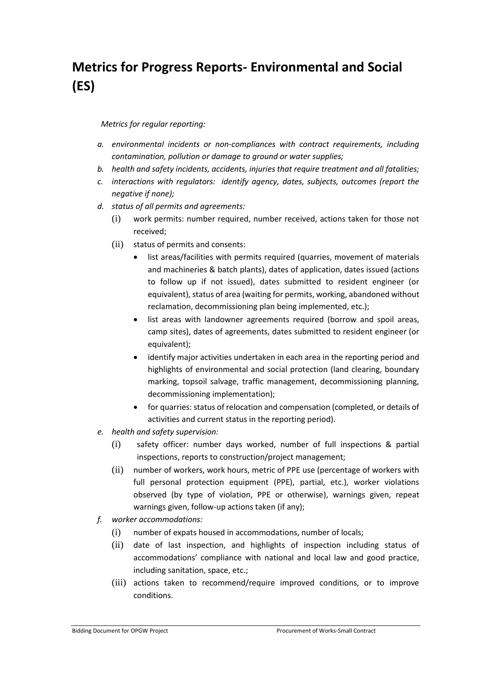## **Metrics for Progress Reports- Environmental and Social (ES)**

## *Metrics for regular reporting:*

- *a. environmental incidents or non-compliances with contract requirements, including contamination, pollution or damage to ground or water supplies;*
- *b. health and safety incidents, accidents, injuries that require treatment and all fatalities;*
- *c. interactions with regulators: identify agency, dates, subjects, outcomes (report the negative if none);*
- *d. status of all permits and agreements:* 
	- (i) work permits: number required, number received, actions taken for those not received;
	- (ii) status of permits and consents:
		- list areas/facilities with permits required (quarries, movement of materials and machineries & batch plants), dates of application, dates issued (actions to follow up if not issued), dates submitted to resident engineer (or equivalent), status of area (waiting for permits, working, abandoned without reclamation, decommissioning plan being implemented, etc.);
		- list areas with landowner agreements required (borrow and spoil areas, camp sites), dates of agreements, dates submitted to resident engineer (or equivalent);
		- identify major activities undertaken in each area in the reporting period and highlights of environmental and social protection (land clearing, boundary marking, topsoil salvage, traffic management, decommissioning planning, decommissioning implementation);
		- for quarries: status of relocation and compensation (completed, or details of activities and current status in the reporting period).
- *e. health and safety supervision:* 
	- (i) safety officer: number days worked, number of full inspections & partial inspections, reports to construction/project management;
	- (ii) number of workers, work hours, metric of PPE use (percentage of workers with full personal protection equipment (PPE), partial, etc.), worker violations observed (by type of violation, PPE or otherwise), warnings given, repeat warnings given, follow-up actions taken (if any);
- *f. worker accommodations:*
	- (i) number of expats housed in accommodations, number of locals;
	- (ii) date of last inspection, and highlights of inspection including status of accommodations' compliance with national and local law and good practice, including sanitation, space, etc.;
	- (iii) actions taken to recommend/require improved conditions, or to improve conditions.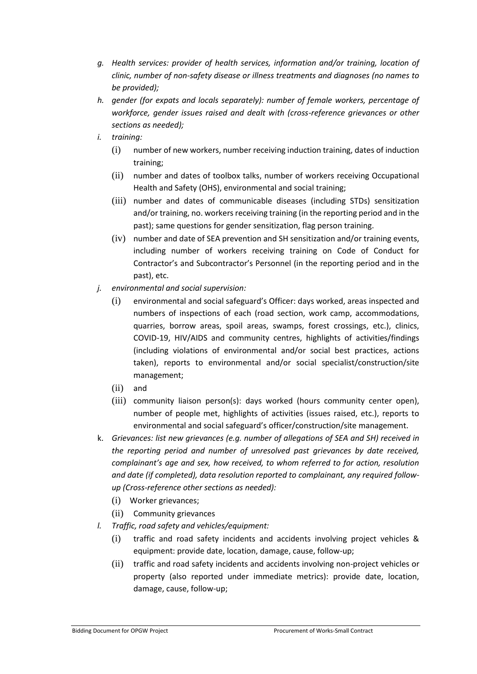- *g. Health services: provider of health services, information and/or training, location of clinic, number of non-safety disease or illness treatments and diagnoses (no names to be provided);*
- *h. gender (for expats and locals separately): number of female workers, percentage of workforce, gender issues raised and dealt with (cross-reference grievances or other sections as needed);*
- *i. training:*
	- (i) number of new workers, number receiving induction training, dates of induction training;
	- (ii) number and dates of toolbox talks, number of workers receiving Occupational Health and Safety (OHS), environmental and social training;
	- (iii) number and dates of communicable diseases (including STDs) sensitization and/or training, no. workers receiving training (in the reporting period and in the past); same questions for gender sensitization, flag person training.
	- (iv) number and date of SEA prevention and SH sensitization and/or training events, including number of workers receiving training on Code of Conduct for Contractor's and Subcontractor's Personnel (in the reporting period and in the past), etc.
- *j. environmental and social supervision:*
	- (i) environmental and social safeguard's Officer: days worked, areas inspected and numbers of inspections of each (road section, work camp, accommodations, quarries, borrow areas, spoil areas, swamps, forest crossings, etc.), clinics, COVID-19, HIV/AIDS and community centres, highlights of activities/findings (including violations of environmental and/or social best practices, actions taken), reports to environmental and/or social specialist/construction/site management;
	- (ii) and
	- (iii) community liaison person(s): days worked (hours community center open), number of people met, highlights of activities (issues raised, etc.), reports to environmental and social safeguard's officer/construction/site management.
- k. *Grievances: list new grievances (e.g. number of allegations of SEA and SH) received in the reporting period and number of unresolved past grievances by date received, complainant's age and sex, how received, to whom referred to for action, resolution and date (if completed), data resolution reported to complainant, any required followup (Cross-reference other sections as needed):*
	- (i) Worker grievances;
	- (ii) Community grievances
- *l. Traffic, road safety and vehicles/equipment:*
	- (i) traffic and road safety incidents and accidents involving project vehicles & equipment: provide date, location, damage, cause, follow-up;
	- (ii) traffic and road safety incidents and accidents involving non-project vehicles or property (also reported under immediate metrics): provide date, location, damage, cause, follow-up;